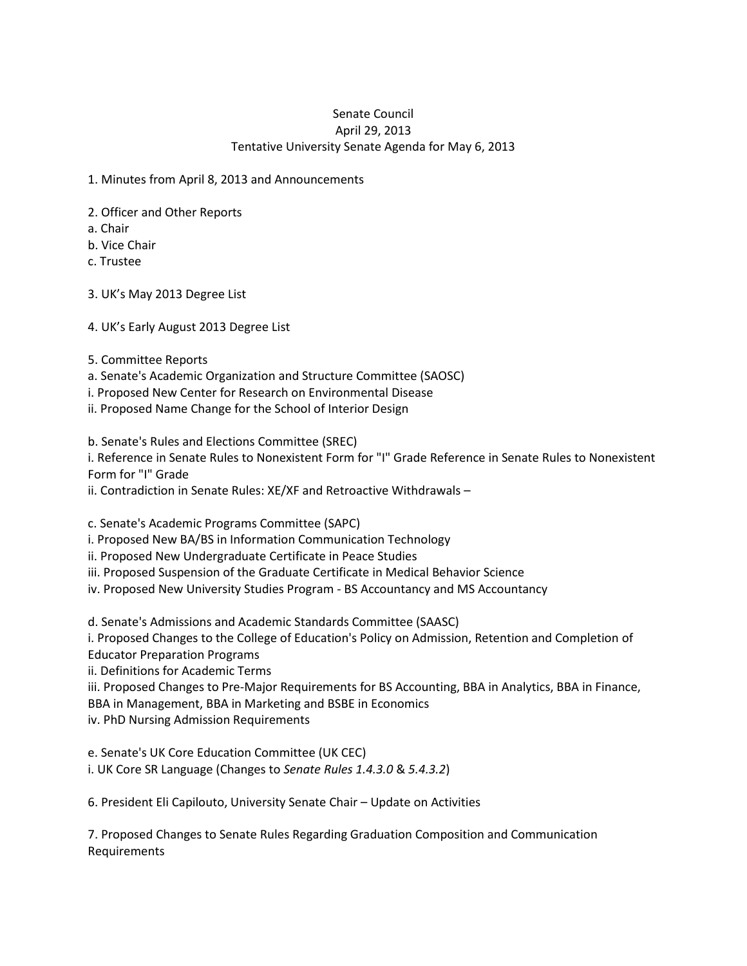## Senate Council April 29, 2013 Tentative University Senate Agenda for May 6, 2013

1. Minutes from April 8, 2013 and Announcements

2. Officer and Other Reports

a. Chair

b. Vice Chair

c. Trustee

3. UK's May 2013 Degree List

4. UK's Early August 2013 Degree List

5. Committee Reports

a. Senate's Academic Organization and Structure Committee (SAOSC)

i. Proposed New Center for Research on Environmental Disease

ii. Proposed Name Change for the School of Interior Design

b. Senate's Rules and Elections Committee (SREC)

i. Reference in Senate Rules to Nonexistent Form for "I" Grade Reference in Senate Rules to Nonexistent Form for "I" Grade

ii. Contradiction in Senate Rules: XE/XF and Retroactive Withdrawals –

c. Senate's Academic Programs Committee (SAPC)

i. Proposed New BA/BS in Information Communication Technology

ii. Proposed New Undergraduate Certificate in Peace Studies

iii. Proposed Suspension of the Graduate Certificate in Medical Behavior Science

iv. Proposed New University Studies Program - BS Accountancy and MS Accountancy

d. Senate's Admissions and Academic Standards Committee (SAASC)

i. Proposed Changes to the College of Education's Policy on Admission, Retention and Completion of Educator Preparation Programs

ii. Definitions for Academic Terms

iii. Proposed Changes to Pre-Major Requirements for BS Accounting, BBA in Analytics, BBA in Finance, BBA in Management, BBA in Marketing and BSBE in Economics

iv. PhD Nursing Admission Requirements

e. Senate's UK Core Education Committee (UK CEC) i. UK Core SR Language (Changes to *Senate Rules 1.4.3.0* & *5.4.3.2*)

6. President Eli Capilouto, University Senate Chair – Update on Activities

7. Proposed Changes to Senate Rules Regarding Graduation Composition and Communication Requirements